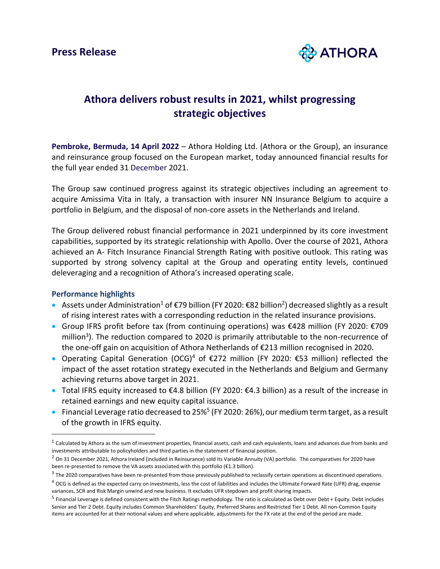

# **Athora delivers robust results in 2021, whilst progressing strategic objectives**

**Pembroke, Bermuda, 14 April 2022** – Athora Holding Ltd. (Athora or the Group), an insurance and reinsurance group focused on the European market, today announced financial results for the full year ended 31 December 2021.

The Group saw continued progress against its strategic objectives including an agreement to acquire Amissima Vita in Italy, a transaction with insurer NN Insurance Belgium to acquire a portfolio in Belgium, and the disposal of non-core assets in the Netherlands and Ireland.

The Group delivered robust financial performance in 2021 underpinned by its core investment capabilities, supported by its strategic relationship with Apollo. Over the course of 2021, Athora achieved an A- Fitch Insurance Financial Strength Rating with positive outlook. This rating was supported by strong solvency capital at the Group and operating entity levels, continued deleveraging and a recognition of Athora's increased operating scale.

## **Performance highlights**

- Assets under Administration<sup>1</sup> of €79 billion (FY 2020: €82 billion<sup>2</sup>) decreased slightly as a result of rising interest rates with a corresponding reduction in the related insurance provisions.
- Group IFRS profit before tax (from continuing operations) was €428 million (FY 2020: €709 million<sup>3</sup>). The reduction compared to 2020 is primarily attributable to the non-recurrence of the one-off gain on acquisition of Athora Netherlands of €213 million recognised in 2020.
- Operating Capital Generation (OCG)<sup>4</sup> of  $\epsilon$ 272 million (FY 2020:  $\epsilon$ 53 million) reflected the impact of the asset rotation strategy executed in the Netherlands and Belgium and Germany achieving returns above target in 2021.
- Total IFRS equity increased to €4.8 billion (FY 2020: €4.3 billion) as a result of the increase in retained earnings and new equity capital issuance.
- $\bullet$  Financial Leverage ratio decreased to 25%<sup>5</sup> (FY 2020: 26%), our medium term target, as a result of the growth in IFRS equity.

 $^{\text{1}}$  Calculated by Athora as the sum of investment properties, financial assets, cash and cash equivalents, loans and advances due from banks and investments attributable to policyholders and third parties in the statement of financial position.

<sup>&</sup>lt;sup>2</sup> On 31 December 2021, Athora Ireland (included in Reinsurance) sold its Variable Annuity (VA) portfolio. The comparatives for 2020 have been re-presented to remove the VA assets associated with this portfolio (€1.3 billion).

 $3$  The 2020 comparatives have been re-presented from those previously published to reclassify certain operations as discontinued operations.

 $4$  OCG is defined as the expected carry on investments, less the cost of liabilities and includes the Ultimate Forward Rate (UFR) drag, expense variances, SCR and Risk Margin unwind and new business. It excludes UFR stepdown and profit sharing impacts.

<sup>&</sup>lt;sup>5</sup> Financial Leverage is defined consistent with the Fitch Ratings methodology. The ratio is calculated as Debt over Debt + Equity. Debt includes Senior and Tier 2 Debt. Equity includes Common Shareholders' Equity, Preferred Shares and Restricted Tier 1 Debt. All non-Common Equity items are accounted for at their notional values and where applicable, adjustments for the FX rate at the end of the period are made.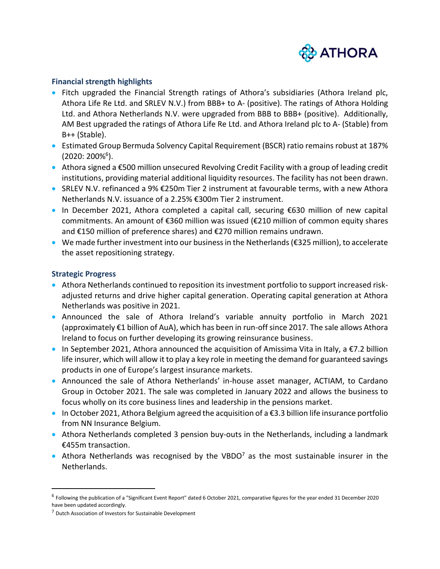

### **Financial strength highlights**

- Fitch upgraded the Financial Strength ratings of Athora's subsidiaries (Athora Ireland plc, Athora Life Re Ltd. and SRLEV N.V.) from BBB+ to A- (positive). The ratings of Athora Holding Ltd. and Athora Netherlands N.V. were upgraded from BBB to BBB+ (positive). Additionally, AM Best upgraded the ratings of Athora Life Re Ltd. and Athora Ireland plc to A- (Stable) from B++ (Stable).
- Estimated Group Bermuda Solvency Capital Requirement (BSCR) ratio remains robust at 187% (2020: 200%<sup>6</sup>).
- Athora signed a €500 million unsecured Revolving Credit Facility with a group of leading credit institutions, providing material additional liquidity resources. The facility has not been drawn.
- SRLEV N.V. refinanced a 9% €250m Tier 2 instrument at favourable terms, with a new Athora Netherlands N.V. issuance of a 2.25% €300m Tier 2 instrument.
- In December 2021, Athora completed a capital call, securing €630 million of new capital commitments. An amount of €360 million was issued (€210 million of common equity shares and €150 million of preference shares) and €270 million remains undrawn.
- We made further investment into our business in the Netherlands (€325 million), to accelerate the asset repositioning strategy.

### **Strategic Progress**

- Athora Netherlands continued to reposition its investment portfolio to support increased riskadjusted returns and drive higher capital generation. Operating capital generation at Athora Netherlands was positive in 2021.
- Announced the sale of Athora Ireland's variable annuity portfolio in March 2021 (approximately €1 billion of AuA), which has been in run-off since 2017. The sale allows Athora Ireland to focus on further developing its growing reinsurance business.
- In September 2021, Athora announced the acquisition of Amissima Vita in Italy, a  $\epsilon$ 7.2 billion life insurer, which will allow it to play a key role in meeting the demand for guaranteed savings products in one of Europe's largest insurance markets.
- Announced the sale of Athora Netherlands' in-house asset manager, ACTIAM, to Cardano Group in October 2021. The sale was completed in January 2022 and allows the business to focus wholly on its core business lines and leadership in the pensions market.
- In October 2021, Athora Belgium agreed the acquisition of a €3.3 billion life insurance portfolio from NN Insurance Belgium.
- Athora Netherlands completed 3 pension buy-outs in the Netherlands, including a landmark €455m transaction.
- Athora Netherlands was recognised by the VBDO<sup>7</sup> as the most sustainable insurer in the Netherlands.

<sup>&</sup>lt;sup>6</sup> Following the publication of a "Significant Event Report" dated 6 October 2021, comparative figures for the year ended 31 December 2020 have been updated accordingly.

<sup>7</sup> Dutch Association of Investors for Sustainable Development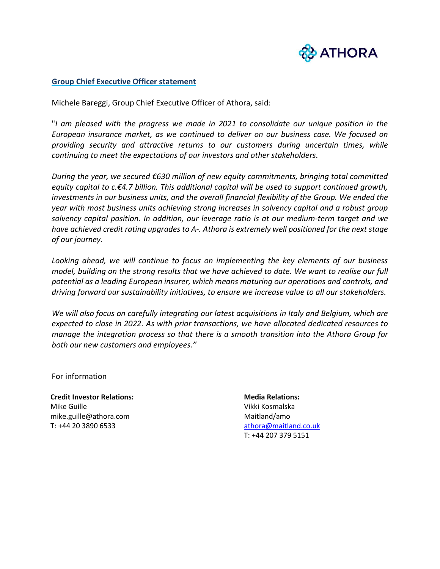

#### **Group Chief Executive Officer statement**

Michele Bareggi, Group Chief Executive Officer of Athora, said:

"*I am pleased with the progress we made in 2021 to consolidate our unique position in the European insurance market, as we continued to deliver on our business case. We focused on providing security and attractive returns to our customers during uncertain times, while continuing to meet the expectations of our investors and other stakeholders.*

*During the year, we secured €630 million of new equity commitments, bringing total committed equity capital to c.€4.7 billion. This additional capital will be used to support continued growth, investments in our business units, and the overall financial flexibility of the Group. We ended the year with most business units achieving strong increases in solvency capital and a robust group solvency capital position. In addition, our leverage ratio is at our medium-term target and we have achieved credit rating upgrades to A-. Athora is extremely well positioned for the next stage of our journey.*

*Looking ahead, we will continue to focus on implementing the key elements of our business model, building on the strong results that we have achieved to date. We want to realise our full potential as a leading European insurer, which means maturing our operations and controls, and driving forward our sustainability initiatives, to ensure we increase value to all our stakeholders.*

*We will also focus on carefully integrating our latest acquisitions in Italy and Belgium, which are expected to close in 2022. As with prior transactions, we have allocated dedicated resources to manage the integration process so that there is a smooth transition into the Athora Group for both our new customers and employees."*

For information

**Credit Investor Relations:** Mike Guille mike.guille@athora.com T: +44 20 3890 6533

**Media Relations:** Vikki Kosmalska Maitland/amo [athora@maitland.co.uk](mailto:athora@maitland.co.uk) T: +44 207 379 5151